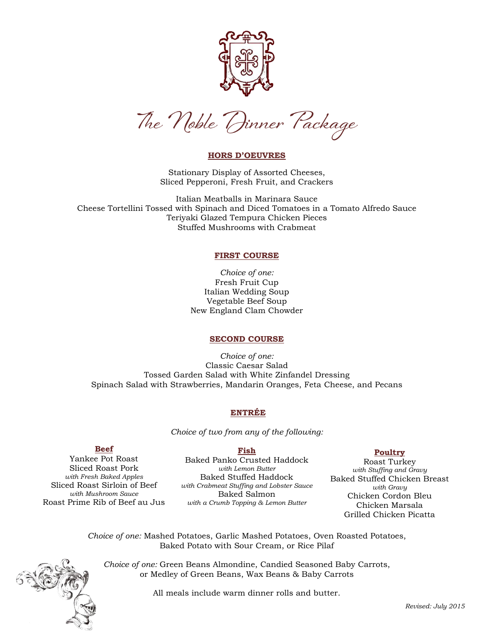

The Noble Dinner Package

## **HORS D'OEUVRES**

Stationary Display of Assorted Cheeses, Sliced Pepperoni, Fresh Fruit, and Crackers

Italian Meatballs in Marinara Sauce Cheese Tortellini Tossed with Spinach and Diced Tomatoes in a Tomato Alfredo Sauce Teriyaki Glazed Tempura Chicken Pieces Stuffed Mushrooms with Crabmeat

### **FIRST COURSE**

*Choice of one:* Fresh Fruit Cup Italian Wedding Soup Vegetable Beef Soup New England Clam Chowder

## **SECOND COURSE**

*Choice of one:* Classic Caesar Salad Tossed Garden Salad with White Zinfandel Dressing Spinach Salad with Strawberries, Mandarin Oranges, Feta Cheese, and Pecans

# **ENTRÉE**

*Choice of two from any of the following:*

**Fish**

## **Beef**

Yankee Pot Roast Sliced Roast Pork *with Fresh Baked Apples* Sliced Roast Sirloin of Beef *with Mushroom Sauce* Roast Prime Rib of Beef au Jus

Baked Panko Crusted Haddock *with Lemon Butter* Baked Stuffed Haddock *with Crabmeat Stuffing and Lobster Sauce* Baked Salmon *with a Crumb Topping & Lemon Butter*

### **Poultry**

Roast Turkey *with Stuffing and Gravy* Baked Stuffed Chicken Breast *with Gravy* Chicken Cordon Bleu Chicken Marsala Grilled Chicken Picatta

*Choice of one:* Mashed Potatoes, Garlic Mashed Potatoes, Oven Roasted Potatoes, Baked Potato with Sour Cream, or Rice Pilaf

*Choice of one:* Green Beans Almondine, Candied Seasoned Baby Carrots, or Medley of Green Beans, Wax Beans & Baby Carrots

All meals include warm dinner rolls and butter.

*Revised: July 2015*